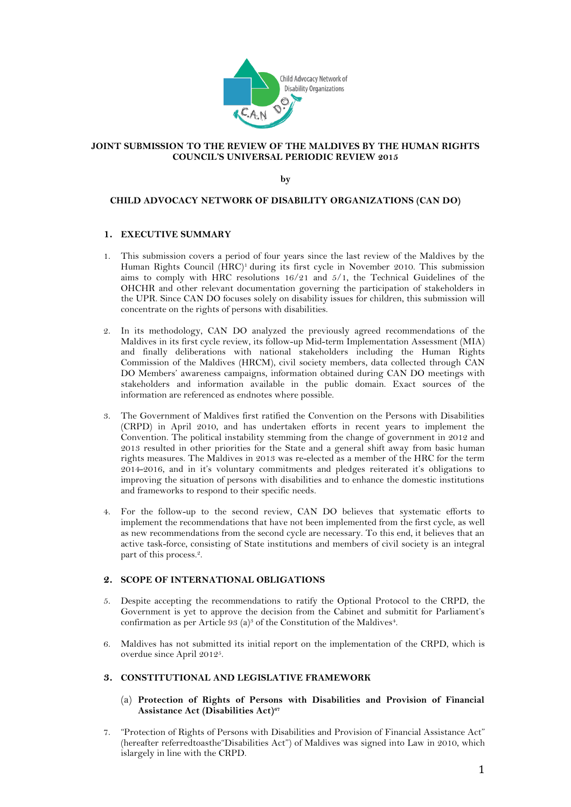

# **JOINT SUBMISSION TO THE REVIEW OF THE MALDIVES BY THE HUMAN RIGHTS COUNCIL'S UNIVERSAL PERIODIC REVIEW 2015**

**by**

## **CHILD ADVOCACY NETWORK OF DISABILITY ORGANIZATIONS (CAN DO)**

## **1. EXECUTIVE SUMMARY**

- 1. This submission covers a period of four years since the last review of the Maldives by the Human Rights Council (HRC)<sup>1</sup> during its first cycle in November 2010. This submission aims to comply with HRC resolutions  $16/21$  and  $5/1$ , the Technical Guidelines of the OHCHR and other relevant documentation governing the participation of stakeholders in the UPR. Since CAN DO focuses solely on disability issues for children, this submission will concentrate on the rights of persons with disabilities.
- 2. In its methodology, CAN DO analyzed the previously agreed recommendations of the Maldives in its first cycle review, its follow-up Mid-term Implementation Assessment (MIA) and finally deliberations with national stakeholders including the Human Rights Commission of the Maldives (HRCM), civil society members, data collected through CAN DO Members' awareness campaigns, information obtained during CAN DO meetings with stakeholders and information available in the public domain. Exact sources of the information are referenced as endnotes where possible.
- 3. The Government of Maldives first ratified the Convention on the Persons with Disabilities (CRPD) in April 2010, and has undertaken efforts in recent years to implement the Convention. The political instability stemming from the change of government in 2012 and 2013 resulted in other priorities for the State and a general shift away from basic human rights measures. The Maldives in 2013 was re-elected as a member of the HRC for the term 2014-2016, and in it's voluntary commitments and pledges reiterated it's obligations to improving the situation of persons with disabilities and to enhance the domestic institutions and frameworks to respond to their specific needs.
- 4. For the follow-up to the second review, CAN DO believes that systematic efforts to implement the recommendations that have not been implemented from the first cycle, as well as new recommendations from the second cycle are necessary. To this end, it believes that an active task-force, consisting of State institutions and members of civil society is an integral part of this process.<sup>2</sup>.

#### **2. SCOPE OF INTERNATIONAL OBLIGATIONS**

- 5. Despite accepting the recommendations to ratify the Optional Protocol to the CRPD, the Government is yet to approve the decision from the Cabinet and submitit for Parliament's confirmation as per Article 93 (a)<sup>3</sup> of the Constitution of the Maldives<sup>4</sup>.
- 6. Maldives has not submitted its initial report on the implementation of the CRPD, which is overdue since April 2012<sup>5</sup>.

#### **3. CONSTITUTIONAL AND LEGISLATIVE FRAMEWORK**

# (a) **Protection of Rights of Persons with Disabilities and Provision of Financial Assistance Act (Disabilities Act)<sup>67</sup>**

7. "Protection of Rights of Persons with Disabilities and Provision of Financial Assistance Act" (hereafter referredtoasthe"Disabilities Act") of Maldives was signed into Law in 2010, which islargely in line with the CRPD.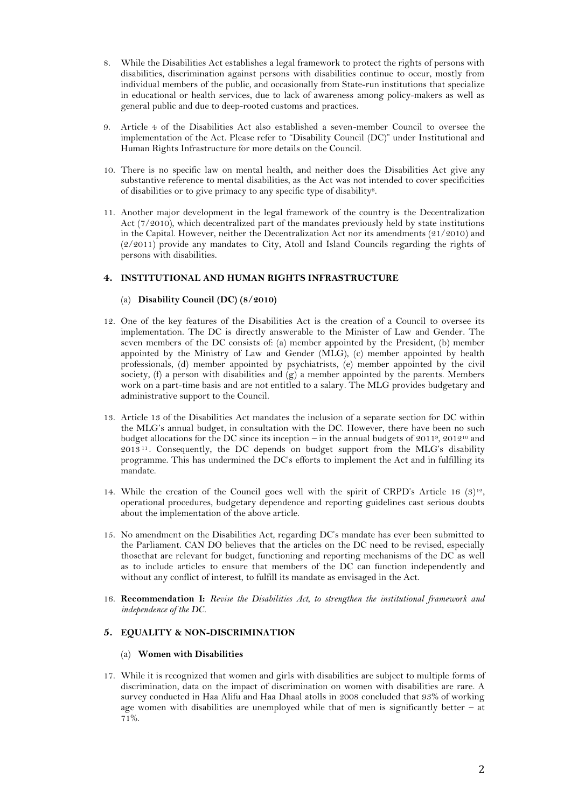- 8. While the Disabilities Act establishes a legal framework to protect the rights of persons with disabilities, discrimination against persons with disabilities continue to occur, mostly from individual members of the public, and occasionally from State-run institutions that specialize in educational or health services, due to lack of awareness among policy-makers as well as general public and due to deep-rooted customs and practices.
- 9. Article 4 of the Disabilities Act also established a seven-member Council to oversee the implementation of the Act. Please refer to "Disability Council (DC)" under Institutional and Human Rights Infrastructure for more details on the Council.
- 10. There is no specific law on mental health, and neither does the Disabilities Act give any substantive reference to mental disabilities, as the Act was not intended to cover specificities of disabilities or to give primacy to any specific type of disability 8 .
- 11. Another major development in the legal framework of the country is the Decentralization Act (7/2010), which decentralized part of the mandates previously held by state institutions in the Capital. However, neither the Decentralization Act nor its amendments (21/2010) and (2/2011) provide any mandates to City, Atoll and Island Councils regarding the rights of persons with disabilities.

## **4. INSTITUTIONAL AND HUMAN RIGHTS INFRASTRUCTURE**

# (a) **Disability Council (DC) (8/2010)**

- 12. One of the key features of the Disabilities Act is the creation of a Council to oversee its implementation. The DC is directly answerable to the Minister of Law and Gender. The seven members of the DC consists of: (a) member appointed by the President, (b) member appointed by the Ministry of Law and Gender (MLG), (c) member appointed by health professionals, (d) member appointed by psychiatrists, (e) member appointed by the civil society, (f) a person with disabilities and  $(g)$  a member appointed by the parents. Members work on a part-time basis and are not entitled to a salary. The MLG provides budgetary and administrative support to the Council.
- 13. Article 13 of the Disabilities Act mandates the inclusion of a separate section for DC within the MLG's annual budget, in consultation with the DC. However, there have been no such budget allocations for the DC since its inception  $-$  in the annual budgets of 2011<sup>9</sup>, 2012<sup>10</sup> and 2013 <sup>11</sup> . Consequently, the DC depends on budget support from the MLG's disability programme. This has undermined the DC's efforts to implement the Act and in fulfilling its mandate.
- 14. While the creation of the Council goes well with the spirit of CRPD's Article 16  $(3)^{12}$ , operational procedures, budgetary dependence and reporting guidelines cast serious doubts about the implementation of the above article.
- 15. No amendment on the Disabilities Act, regarding DC's mandate has ever been submitted to the Parliament. CAN DO believes that the articles on the DC need to be revised, especially thosethat are relevant for budget, functioning and reporting mechanisms of the DC as well as to include articles to ensure that members of the DC can function independently and without any conflict of interest, to fulfill its mandate as envisaged in the Act.
- 16. **Recommendation I:** *Revise the Disabilities Act, to strengthen the institutional framework and independence of the DC.*

# **5. EQUALITY & NON-DISCRIMINATION**

## (a) **Women with Disabilities**

17. While it is recognized that women and girls with disabilities are subject to multiple forms of discrimination, data on the impact of discrimination on women with disabilities are rare. A survey conducted in Haa Alifu and Haa Dhaal atolls in 2008 concluded that 93% of working age women with disabilities are unemployed while that of men is significantly better – at 71%.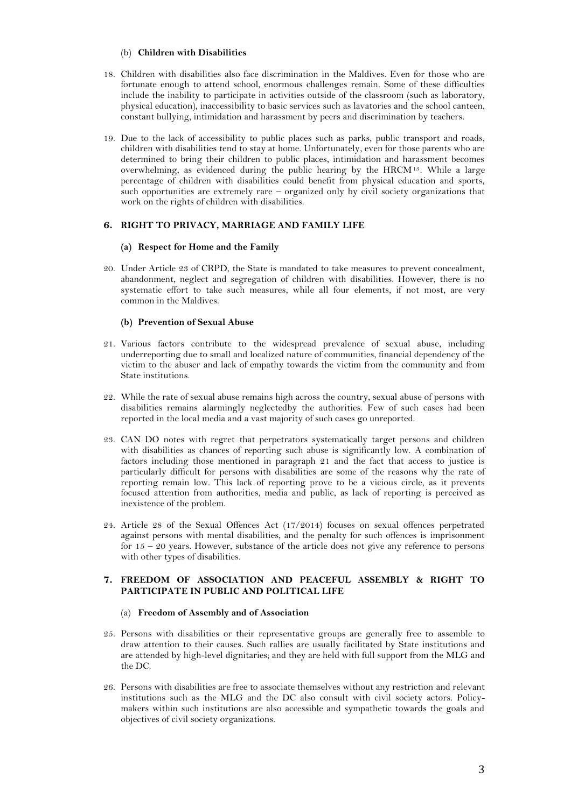### (b) **Children with Disabilities**

- 18. Children with disabilities also face discrimination in the Maldives. Even for those who are fortunate enough to attend school, enormous challenges remain. Some of these difficulties include the inability to participate in activities outside of the classroom (such as laboratory, physical education), inaccessibility to basic services such as lavatories and the school canteen, constant bullying, intimidation and harassment by peers and discrimination by teachers.
- 19. Due to the lack of accessibility to public places such as parks, public transport and roads, children with disabilities tend to stay at home. Unfortunately, even for those parents who are determined to bring their children to public places, intimidation and harassment becomes overwhelming, as evidenced during the public hearing by the HRCM<sup>13</sup>. While a large percentage of children with disabilities could benefit from physical education and sports, such opportunities are extremely rare – organized only by civil society organizations that work on the rights of children with disabilities.

## **6. RIGHT TO PRIVACY, MARRIAGE AND FAMILY LIFE**

#### **(a) Respect for Home and the Family**

20. Under Article 23 of CRPD, the State is mandated to take measures to prevent concealment, abandonment, neglect and segregation of children with disabilities. However, there is no systematic effort to take such measures, while all four elements, if not most, are very common in the Maldives.

### **(b) Prevention of Sexual Abuse**

- 21. Various factors contribute to the widespread prevalence of sexual abuse, including underreporting due to small and localized nature of communities, financial dependency of the victim to the abuser and lack of empathy towards the victim from the community and from State institutions.
- 22. While the rate of sexual abuse remains high across the country, sexual abuse of persons with disabilities remains alarmingly neglectedby the authorities. Few of such cases had been reported in the local media and a vast majority of such cases go unreported.
- 23. CAN DO notes with regret that perpetrators systematically target persons and children with disabilities as chances of reporting such abuse is significantly low. A combination of factors including those mentioned in paragraph 21 and the fact that access to justice is particularly difficult for persons with disabilities are some of the reasons why the rate of reporting remain low. This lack of reporting prove to be a vicious circle, as it prevents focused attention from authorities, media and public, as lack of reporting is perceived as inexistence of the problem.
- 24. Article 28 of the Sexual Offences Act (17/2014) focuses on sexual offences perpetrated against persons with mental disabilities, and the penalty for such offences is imprisonment for  $15 - 20$  years. However, substance of the article does not give any reference to persons with other types of disabilities.

# **7. FREEDOM OF ASSOCIATION AND PEACEFUL ASSEMBLY & RIGHT TO PARTICIPATE IN PUBLIC AND POLITICAL LIFE**

#### (a) **Freedom of Assembly and of Association**

- 25. Persons with disabilities or their representative groups are generally free to assemble to draw attention to their causes. Such rallies are usually facilitated by State institutions and are attended by high-level dignitaries; and they are held with full support from the MLG and the DC.
- 26. Persons with disabilities are free to associate themselves without any restriction and relevant institutions such as the MLG and the DC also consult with civil society actors. Policymakers within such institutions are also accessible and sympathetic towards the goals and objectives of civil society organizations.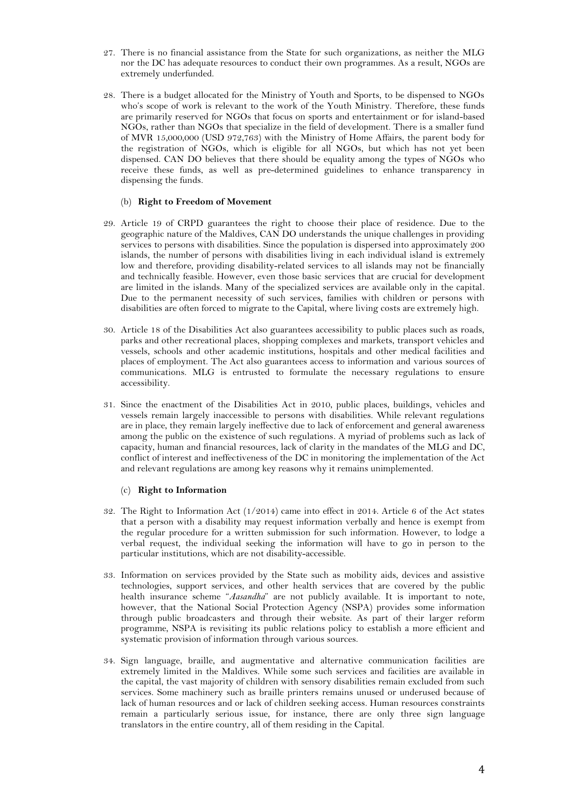- 27. There is no financial assistance from the State for such organizations, as neither the MLG nor the DC has adequate resources to conduct their own programmes. As a result, NGOs are extremely underfunded.
- 28. There is a budget allocated for the Ministry of Youth and Sports, to be dispensed to NGOs who's scope of work is relevant to the work of the Youth Ministry. Therefore, these funds are primarily reserved for NGOs that focus on sports and entertainment or for island-based NGOs, rather than NGOs that specialize in the field of development. There is a smaller fund of MVR 15,000,000 (USD 972,763) with the Ministry of Home Affairs, the parent body for the registration of NGOs, which is eligible for all NGOs, but which has not yet been dispensed. CAN DO believes that there should be equality among the types of NGOs who receive these funds, as well as pre-determined guidelines to enhance transparency in dispensing the funds.

#### (b) **Right to Freedom of Movement**

- 29. Article 19 of CRPD guarantees the right to choose their place of residence. Due to the geographic nature of the Maldives, CAN DO understands the unique challenges in providing services to persons with disabilities. Since the population is dispersed into approximately 200 islands, the number of persons with disabilities living in each individual island is extremely low and therefore, providing disability-related services to all islands may not be financially and technically feasible. However, even those basic services that are crucial for development are limited in the islands. Many of the specialized services are available only in the capital. Due to the permanent necessity of such services, families with children or persons with disabilities are often forced to migrate to the Capital, where living costs are extremely high.
- 30. Article 18 of the Disabilities Act also guarantees accessibility to public places such as roads, parks and other recreational places, shopping complexes and markets, transport vehicles and vessels, schools and other academic institutions, hospitals and other medical facilities and places of employment. The Act also guarantees access to information and various sources of communications. MLG is entrusted to formulate the necessary regulations to ensure accessibility.
- 31. Since the enactment of the Disabilities Act in 2010, public places, buildings, vehicles and vessels remain largely inaccessible to persons with disabilities. While relevant regulations are in place, they remain largely ineffective due to lack of enforcement and general awareness among the public on the existence of such regulations. A myriad of problems such as lack of capacity, human and financial resources, lack of clarity in the mandates of the MLG and DC, conflict of interest and ineffectiveness of the DC in monitoring the implementation of the Act and relevant regulations are among key reasons why it remains unimplemented.

## (c) **Right to Information**

- 32. The Right to Information Act  $(1/2014)$  came into effect in 2014. Article 6 of the Act states that a person with a disability may request information verbally and hence is exempt from the regular procedure for a written submission for such information. However, to lodge a verbal request, the individual seeking the information will have to go in person to the particular institutions, which are not disability-accessible.
- 33. Information on services provided by the State such as mobility aids, devices and assistive technologies, support services, and other health services that are covered by the public health insurance scheme "*Aasandha*" are not publicly available. It is important to note, however, that the National Social Protection Agency (NSPA) provides some information through public broadcasters and through their website. As part of their larger reform programme, NSPA is revisiting its public relations policy to establish a more efficient and systematic provision of information through various sources.
- 34. Sign language, braille, and augmentative and alternative communication facilities are extremely limited in the Maldives. While some such services and facilities are available in the capital, the vast majority of children with sensory disabilities remain excluded from such services. Some machinery such as braille printers remains unused or underused because of lack of human resources and or lack of children seeking access. Human resources constraints remain a particularly serious issue, for instance, there are only three sign language translators in the entire country, all of them residing in the Capital.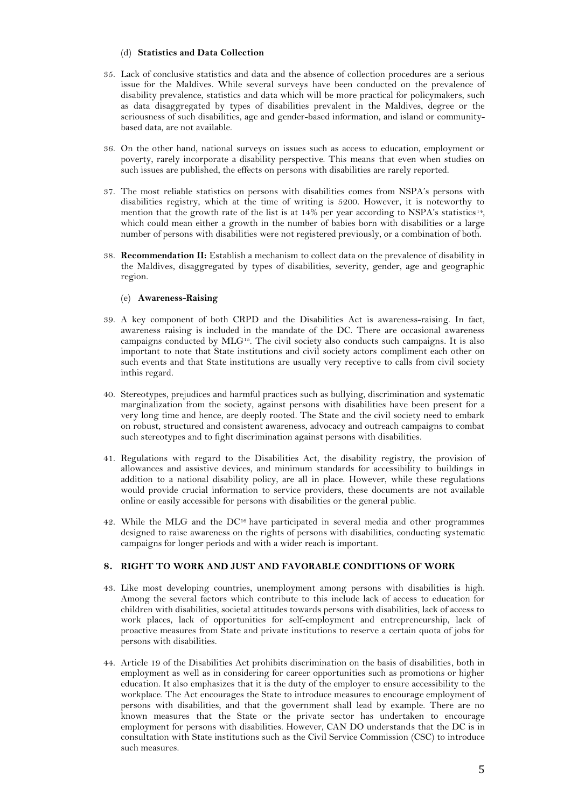### (d) **Statistics and Data Collection**

- 35. Lack of conclusive statistics and data and the absence of collection procedures are a serious issue for the Maldives. While several surveys have been conducted on the prevalence of disability prevalence, statistics and data which will be more practical for policymakers, such as data disaggregated by types of disabilities prevalent in the Maldives, degree or the seriousness of such disabilities, age and gender-based information, and island or communitybased data, are not available.
- 36. On the other hand, national surveys on issues such as access to education, employment or poverty, rarely incorporate a disability perspective. This means that even when studies on such issues are published, the effects on persons with disabilities are rarely reported.
- 37. The most reliable statistics on persons with disabilities comes from NSPA's persons with disabilities registry, which at the time of writing is 5200. However, it is noteworthy to mention that the growth rate of the list is at 14% per year according to NSPA's statistics<sup>14</sup>, which could mean either a growth in the number of babies born with disabilities or a large number of persons with disabilities were not registered previously, or a combination of both.
- 38. **Recommendation II:** Establish a mechanism to collect data on the prevalence of disability in the Maldives, disaggregated by types of disabilities, severity, gender, age and geographic region.

### (e) **Awareness-Raising**

- 39. A key component of both CRPD and the Disabilities Act is awareness-raising. In fact, awareness raising is included in the mandate of the DC. There are occasional awareness campaigns conducted by MLG<sup>15</sup> . The civil society also conducts such campaigns. It is also important to note that State institutions and civil society actors compliment each other on such events and that State institutions are usually very receptive to calls from civil society inthis regard.
- 40. Stereotypes, prejudices and harmful practices such as bullying, discrimination and systematic marginalization from the society, against persons with disabilities have been present for a very long time and hence, are deeply rooted. The State and the civil society need to embark on robust, structured and consistent awareness, advocacy and outreach campaigns to combat such stereotypes and to fight discrimination against persons with disabilities.
- 41. Regulations with regard to the Disabilities Act, the disability registry, the provision of allowances and assistive devices, and minimum standards for accessibility to buildings in addition to a national disability policy, are all in place. However, while these regulations would provide crucial information to service providers, these documents are not available online or easily accessible for persons with disabilities or the general public.
- 42. While the MLG and the DC<sup>16</sup> have participated in several media and other programmes designed to raise awareness on the rights of persons with disabilities, conducting systematic campaigns for longer periods and with a wider reach is important.

## **8. RIGHT TO WORK AND JUST AND FAVORABLE CONDITIONS OF WORK**

- 43. Like most developing countries, unemployment among persons with disabilities is high. Among the several factors which contribute to this include lack of access to education for children with disabilities, societal attitudes towards persons with disabilities, lack of access to work places, lack of opportunities for self-employment and entrepreneurship, lack of proactive measures from State and private institutions to reserve a certain quota of jobs for persons with disabilities.
- 44. Article 19 of the Disabilities Act prohibits discrimination on the basis of disabilities, both in employment as well as in considering for career opportunities such as promotions or higher education. It also emphasizes that it is the duty of the employer to ensure accessibility to the workplace. The Act encourages the State to introduce measures to encourage employment of persons with disabilities, and that the government shall lead by example. There are no known measures that the State or the private sector has undertaken to encourage employment for persons with disabilities. However, CAN DO understands that the DC is in consultation with State institutions such as the Civil Service Commission (CSC) to introduce such measures.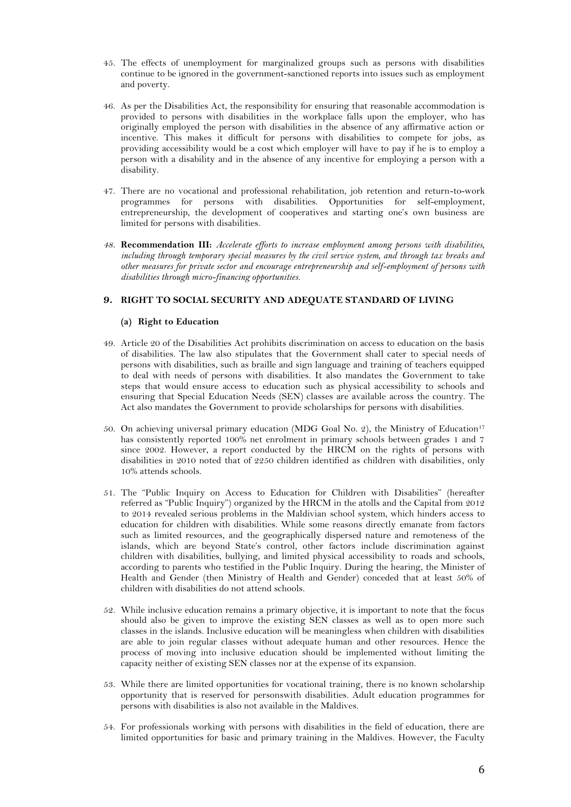- 45. The effects of unemployment for marginalized groups such as persons with disabilities continue to be ignored in the government-sanctioned reports into issues such as employment and poverty.
- 46. As per the Disabilities Act, the responsibility for ensuring that reasonable accommodation is provided to persons with disabilities in the workplace falls upon the employer, who has originally employed the person with disabilities in the absence of any affirmative action or incentive. This makes it difficult for persons with disabilities to compete for jobs, as providing accessibility would be a cost which employer will have to pay if he is to employ a person with a disability and in the absence of any incentive for employing a person with a disability.
- 47. There are no vocational and professional rehabilitation, job retention and return-to-work programmes for persons with disabilities. Opportunities for self-employment, entrepreneurship, the development of cooperatives and starting one's own business are limited for persons with disabilities.
- *48.* **Recommendation III:** *Accelerate efforts to increase employment among persons with disabilities, including through temporary special measures by the civil service system, and through tax breaks and other measures for private sector and encourage entrepreneurship and self-employment of persons with disabilities through micro-financing opportunities.*

# **9. RIGHT TO SOCIAL SECURITY AND ADEQUATE STANDARD OF LIVING**

### **(a) Right to Education**

- 49. Article 20 of the Disabilities Act prohibits discrimination on access to education on the basis of disabilities. The law also stipulates that the Government shall cater to special needs of persons with disabilities, such as braille and sign language and training of teachers equipped to deal with needs of persons with disabilities. It also mandates the Government to take steps that would ensure access to education such as physical accessibility to schools and ensuring that Special Education Needs (SEN) classes are available across the country. The Act also mandates the Government to provide scholarships for persons with disabilities.
- 50. On achieving universal primary education (MDG Goal No. 2), the Ministry of Education<sup>17</sup> has consistently reported 100% net enrolment in primary schools between grades 1 and 7 since 2002. However, a report conducted by the HRCM on the rights of persons with disabilities in 2010 noted that of 2250 children identified as children with disabilities, only 10% attends schools.
- 51. The "Public Inquiry on Access to Education for Children with Disabilities" (hereafter referred as "Public Inquiry") organized by the HRCM in the atolls and the Capital from 2012 to 2014 revealed serious problems in the Maldivian school system, which hinders access to education for children with disabilities. While some reasons directly emanate from factors such as limited resources, and the geographically dispersed nature and remoteness of the islands, which are beyond State's control, other factors include discrimination against children with disabilities, bullying, and limited physical accessibility to roads and schools, according to parents who testified in the Public Inquiry. During the hearing, the Minister of Health and Gender (then Ministry of Health and Gender) conceded that at least 50% of children with disabilities do not attend schools.
- 52. While inclusive education remains a primary objective, it is important to note that the focus should also be given to improve the existing SEN classes as well as to open more such classes in the islands. Inclusive education will be meaningless when children with disabilities are able to join regular classes without adequate human and other resources. Hence the process of moving into inclusive education should be implemented without limiting the capacity neither of existing SEN classes nor at the expense of its expansion.
- 53. While there are limited opportunities for vocational training, there is no known scholarship opportunity that is reserved for personswith disabilities. Adult education programmes for persons with disabilities is also not available in the Maldives.
- 54. For professionals working with persons with disabilities in the field of education, there are limited opportunities for basic and primary training in the Maldives. However, the Faculty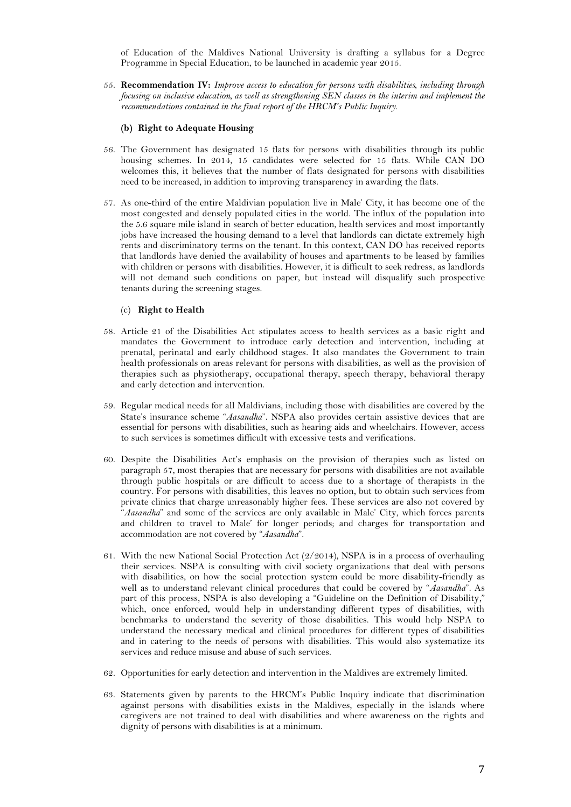of Education of the Maldives National University is drafting a syllabus for a Degree Programme in Special Education, to be launched in academic year 2015.

55. **Recommendation IV:** *Improve access to education for persons with disabilities, including through focusing on inclusive education, as well as strengthening SEN classes in the interim and implement the recommendations contained in the final report of the HRCM's Public Inquiry.*

#### **(b) Right to Adequate Housing**

- 56. The Government has designated 15 flats for persons with disabilities through its public housing schemes. In 2014, 15 candidates were selected for 15 flats. While CAN DO welcomes this, it believes that the number of flats designated for persons with disabilities need to be increased, in addition to improving transparency in awarding the flats.
- 57. As one-third of the entire Maldivian population live in Male' City, it has become one of the most congested and densely populated cities in the world. The influx of the population into the 5.6 square mile island in search of better education, health services and most importantly jobs have increased the housing demand to a level that landlords can dictate extremely high rents and discriminatory terms on the tenant. In this context, CAN DO has received reports that landlords have denied the availability of houses and apartments to be leased by families with children or persons with disabilities. However, it is difficult to seek redress, as landlords will not demand such conditions on paper, but instead will disqualify such prospective tenants during the screening stages.

# (c) **Right to Health**

- 58. Article 21 of the Disabilities Act stipulates access to health services as a basic right and mandates the Government to introduce early detection and intervention, including at prenatal, perinatal and early childhood stages. It also mandates the Government to train health professionals on areas relevant for persons with disabilities, as well as the provision of therapies such as physiotherapy, occupational therapy, speech therapy, behavioral therapy and early detection and intervention.
- 59. Regular medical needs for all Maldivians, including those with disabilities are covered by the State's insurance scheme "*Aasandha*". NSPA also provides certain assistive devices that are essential for persons with disabilities, such as hearing aids and wheelchairs. However, access to such services is sometimes difficult with excessive tests and verifications.
- 60. Despite the Disabilities Act's emphasis on the provision of therapies such as listed on paragraph 57, most therapies that are necessary for persons with disabilities are not available through public hospitals or are difficult to access due to a shortage of therapists in the country. For persons with disabilities, this leaves no option, but to obtain such services from private clinics that charge unreasonably higher fees. These services are also not covered by "*Aasandha*" and some of the services are only available in Male' City, which forces parents and children to travel to Male' for longer periods; and charges for transportation and accommodation are not covered by "*Aasandha*".
- 61. With the new National Social Protection Act (2/2014), NSPA is in a process of overhauling their services. NSPA is consulting with civil society organizations that deal with persons with disabilities, on how the social protection system could be more disability-friendly as well as to understand relevant clinical procedures that could be covered by "*Aasandha*". As part of this process, NSPA is also developing a "Guideline on the Definition of Disability," which, once enforced, would help in understanding different types of disabilities, with benchmarks to understand the severity of those disabilities. This would help NSPA to understand the necessary medical and clinical procedures for different types of disabilities and in catering to the needs of persons with disabilities. This would also systematize its services and reduce misuse and abuse of such services.
- 62. Opportunities for early detection and intervention in the Maldives are extremely limited.
- 63. Statements given by parents to the HRCM's Public Inquiry indicate that discrimination against persons with disabilities exists in the Maldives, especially in the islands where caregivers are not trained to deal with disabilities and where awareness on the rights and dignity of persons with disabilities is at a minimum.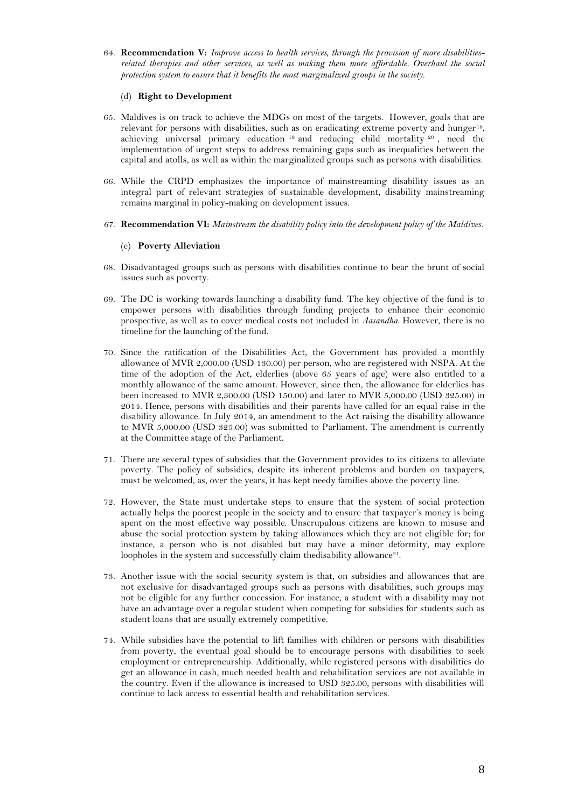64. **Recommendation V:** *Improve access to health services, through the provision of more disabilitiesrelated therapies and other services, as well as making them more affordable. Overhaul the social protection system to ensure that it benefits the most marginalized groups in the society.*

### (d) **Right to Development**

- 65. Maldives is on track to achieve the MDGs on most of the targets. However, goals that are relevant for persons with disabilities, such as on eradicating extreme poverty and hunger<sup>18</sup>, achieving universal primary education <sup>19</sup> and reducing child mortality <sup>20</sup> , need the implementation of urgent steps to address remaining gaps such as inequalities between the capital and atolls, as well as within the marginalized groups such as persons with disabilities.
- 66. While the CRPD emphasizes the importance of mainstreaming disability issues as an integral part of relevant strategies of sustainable development, disability mainstreaming remains marginal in policy-making on development issues.
- *67.* **Recommendation VI:** *Mainstream the disability policy into the development policy of the Maldives.*

# (e) **Poverty Alleviation**

- 68. Disadvantaged groups such as persons with disabilities continue to bear the brunt of social issues such as poverty.
- 69. The DC is working towards launching a disability fund. The key objective of the fund is to empower persons with disabilities through funding projects to enhance their economic prospective, as well as to cover medical costs not included in *Aasandha*. However, there is no timeline for the launching of the fund.
- 70. Since the ratification of the Disabilities Act, the Government has provided a monthly allowance of MVR 2,000.00 (USD 130.00) per person, who are registered with NSPA. At the time of the adoption of the Act, elderlies (above 65 years of age) were also entitled to a monthly allowance of the same amount. However, since then, the allowance for elderlies has been increased to MVR 2,300.00 (USD 150.00) and later to MVR 5,000.00 (USD 325.00) in 2014. Hence, persons with disabilities and their parents have called for an equal raise in the disability allowance. In July 2014, an amendment to the Act raising the disability allowance to MVR 5,000.00 (USD 325.00) was submitted to Parliament. The amendment is currently at the Committee stage of the Parliament.
- 71. There are several types of subsidies that the Government provides to its citizens to alleviate poverty. The policy of subsidies, despite its inherent problems and burden on taxpayers, must be welcomed, as, over the years, it has kept needy families above the poverty line.
- 72. However, the State must undertake steps to ensure that the system of social protection actually helps the poorest people in the society and to ensure that taxpayer's money is being spent on the most effective way possible. Unscrupulous citizens are known to misuse and abuse the social protection system by taking allowances which they are not eligible for; for instance, a person who is not disabled but may have a minor deformity, may explore loopholes in the system and successfully claim thedisability allowance<sup>21</sup>.
- 73. Another issue with the social security system is that, on subsidies and allowances that are not exclusive for disadvantaged groups such as persons with disabilities, such groups may not be eligible for any further concession. For instance, a student with a disability may not have an advantage over a regular student when competing for subsidies for students such as student loans that are usually extremely competitive.
- 74. While subsidies have the potential to lift families with children or persons with disabilities from poverty, the eventual goal should be to encourage persons with disabilities to seek employment or entrepreneurship. Additionally, while registered persons with disabilities do get an allowance in cash, much needed health and rehabilitation services are not available in the country. Even if the allowance is increased to USD 325.00, persons with disabilities will continue to lack access to essential health and rehabilitation services.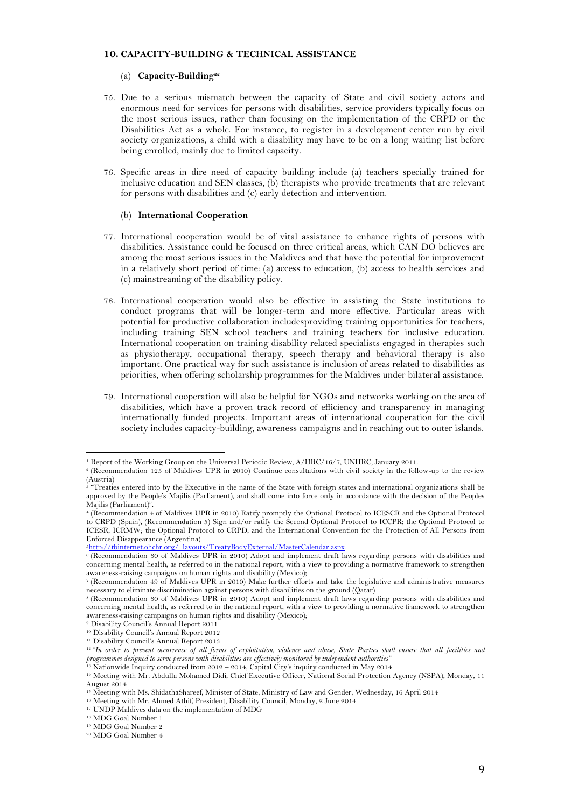#### **10. CAPACITY-BUILDING & TECHNICAL ASSISTANCE**

#### (a) **Capacity-Building<sup>22</sup>**

- 75. Due to a serious mismatch between the capacity of State and civil society actors and enormous need for services for persons with disabilities, service providers typically focus on the most serious issues, rather than focusing on the implementation of the CRPD or the Disabilities Act as a whole. For instance, to register in a development center run by civil society organizations, a child with a disability may have to be on a long waiting list before being enrolled, mainly due to limited capacity.
- 76. Specific areas in dire need of capacity building include (a) teachers specially trained for inclusive education and SEN classes, (b) therapists who provide treatments that are relevant for persons with disabilities and (c) early detection and intervention.

#### (b) **International Cooperation**

- 77. International cooperation would be of vital assistance to enhance rights of persons with disabilities. Assistance could be focused on three critical areas, which CAN DO believes are among the most serious issues in the Maldives and that have the potential for improvement in a relatively short period of time: (a) access to education, (b) access to health services and (c) mainstreaming of the disability policy.
- 78. International cooperation would also be effective in assisting the State institutions to conduct programs that will be longer-term and more effective. Particular areas with potential for productive collaboration includesproviding training opportunities for teachers, including training SEN school teachers and training teachers for inclusive education. International cooperation on training disability related specialists engaged in therapies such as physiotherapy, occupational therapy, speech therapy and behavioral therapy is also important. One practical way for such assistance is inclusion of areas related to disabilities as priorities, when offering scholarship programmes for the Maldives under bilateral assistance.
- 79. International cooperation will also be helpful for NGOs and networks working on the area of disabilities, which have a proven track record of efficiency and transparency in managing internationally funded projects. Important areas of international cooperation for the civil society includes capacity-building, awareness campaigns and in reaching out to outer islands.

<sup>5</sup>[http://tbinternet.ohchr.org/\\_layouts/TreatyBodyExternal/MasterCalendar.aspx.](http://tbinternet.ohchr.org/_layouts/TreatyBodyExternal/MasterCalendar.aspx)

 $\overline{a}$ <sup>1</sup> Report of the Working Group on the Universal Periodic Review, A/HRC/16/7, UNHRC, January 2011.

<sup>2</sup> (Recommendation 125 of Maldives UPR in 2010) Continue consultations with civil society in the follow-up to the review (Austria)

<sup>&</sup>lt;sup>3</sup> "Treaties entered into by the Executive in the name of the State with foreign states and international organizations shall be approved by the People's Majilis (Parliament), and shall come into force only in accordance with the decision of the Peoples Majilis (Parliament)".

<sup>4</sup> (Recommendation 4 of Maldives UPR in 2010) Ratify promptly the Optional Protocol to ICESCR and the Optional Protocol to CRPD (Spain), (Recommendation 5) Sign and/or ratify the Second Optional Protocol to ICCPR; the Optional Protocol to ICESR; ICRMW; the Optional Protocol to CRPD; and the International Convention for the Protection of All Persons from Enforced Disappearance (Argentina)

<sup>6</sup> (Recommendation 30 of Maldives UPR in 2010) Adopt and implement draft laws regarding persons with disabilities and concerning mental health, as referred to in the national report, with a view to providing a normative framework to strengthen awareness-raising campaigns on human rights and disability (Mexico);

<sup>7</sup> (Recommendation 49 of Maldives UPR in 2010) Make further efforts and take the legislative and administrative measures necessary to eliminate discrimination against persons with disabilities on the ground (Qatar)

<sup>8</sup> (Recommendation 30 of Maldives UPR in 2010) Adopt and implement draft laws regarding persons with disabilities and concerning mental health, as referred to in the national report, with a view to providing a normative framework to strengthen awareness-raising campaigns on human rights and disability (Mexico);

<sup>9</sup> Disability Council's Annual Report 2011

<sup>10</sup> Disability Council's Annual Report 2012

<sup>11</sup> Disability Council's Annual Report 2013

<sup>&</sup>lt;sup>12</sup> "In order to prevent occurrence of all forms of exploitation, violence and abuse, State Parties shall ensure that all facilities and *programmes designed to serve persons with disabilities are effectively monitored by independent authorities"*

<sup>13</sup> Nationwide Inquiry conducted from 2012 – 2014, Capital City's inquiry conducted in May 2014

<sup>14</sup> Meeting with Mr. Abdulla Mohamed Didi, Chief Executive Officer, National Social Protection Agency (NSPA), Monday, 11 August 2014

<sup>15</sup> Meeting with Ms. ShidathaShareef, Minister of State, Ministry of Law and Gender, Wednesday, 16 April 2014

<sup>16</sup> Meeting with Mr. Ahmed Athif, President, Disability Council, Monday, 2 June 2014

<sup>&</sup>lt;sup>17</sup> UNDP Maldives data on the implementation of MDG

<sup>18</sup> MDG Goal Number 1

<sup>19</sup> MDG Goal Number 2

<sup>20</sup> MDG Goal Number 4